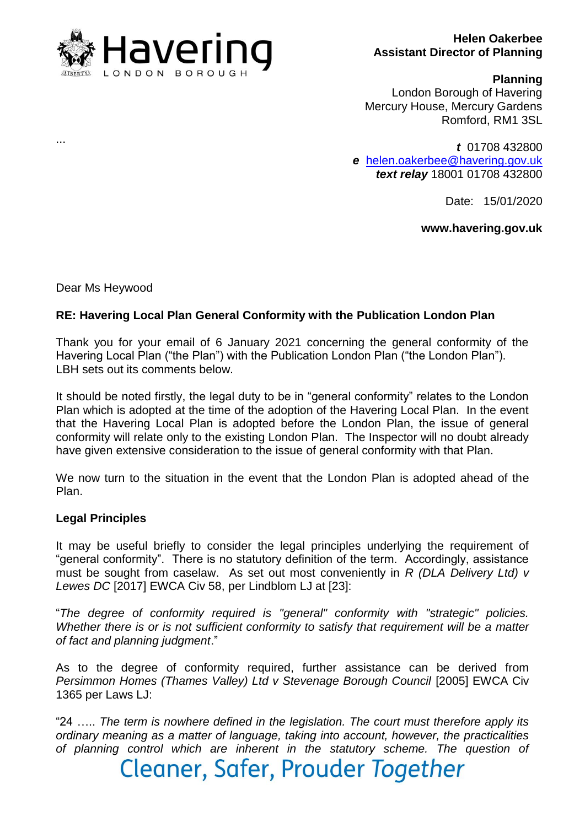

#### **Helen Oakerbee Assistant Director of Planning**

#### **Planning**

London Borough of Havering Mercury House, Mercury Gardens Romford, RM1 3SL

*t* 01708 432800 *e* [helen.oakerbee@havering.gov.uk](mailto:helen.oakerbee@havering.gov.uk) *text relay* 18001 01708 432800

Date: 15/01/2020

### **www.havering.gov.uk**

Dear Ms Heywood

...

### **RE: Havering Local Plan General Conformity with the Publication London Plan**

Thank you for your email of 6 January 2021 concerning the general conformity of the Havering Local Plan ("the Plan") with the Publication London Plan ("the London Plan"). LBH sets out its comments below.

It should be noted firstly, the legal duty to be in "general conformity" relates to the London Plan which is adopted at the time of the adoption of the Havering Local Plan. In the event that the Havering Local Plan is adopted before the London Plan, the issue of general conformity will relate only to the existing London Plan. The Inspector will no doubt already have given extensive consideration to the issue of general conformity with that Plan.

We now turn to the situation in the event that the London Plan is adopted ahead of the Plan.

### **Legal Principles**

It may be useful briefly to consider the legal principles underlying the requirement of "general conformity". There is no statutory definition of the term. Accordingly, assistance must be sought from caselaw. As set out most conveniently in *R (DLA Delivery Ltd) v Lewes DC* [2017] EWCA Civ 58, per Lindblom LJ at [23]:

"*The degree of conformity required is "general" conformity with "strategic" policies. Whether there is or is not sufficient conformity to satisfy that requirement will be a matter of fact and planning judgment*."

As to the degree of conformity required, further assistance can be derived from *Persimmon Homes (Thames Valley) Ltd v Stevenage Borough Council* [2005] EWCA Civ 1365 per Laws LJ:

"24 ….. *The term is nowhere defined in the legislation. The court must therefore apply its ordinary meaning as a matter of language, taking into account, however, the practicalities of planning control which are inherent in the statutory scheme. The question of*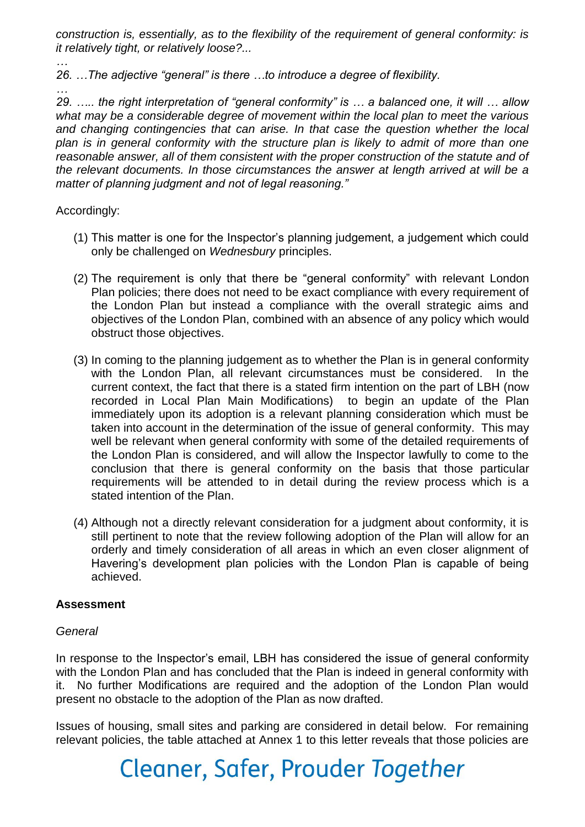*construction is, essentially, as to the flexibility of the requirement of general conformity: is it relatively tight, or relatively loose?...*

*… 26. …The adjective "general" is there …to introduce a degree of flexibility.*

*… 29. ….. the right interpretation of "general conformity" is … a balanced one, it will … allow what may be a considerable degree of movement within the local plan to meet the various and changing contingencies that can arise. In that case the question whether the local plan is in general conformity with the structure plan is likely to admit of more than one reasonable answer, all of them consistent with the proper construction of the statute and of the relevant documents. In those circumstances the answer at length arrived at will be a matter of planning judgment and not of legal reasoning."*

### Accordingly:

- (1) This matter is one for the Inspector's planning judgement, a judgement which could only be challenged on *Wednesbury* principles.
- (2) The requirement is only that there be "general conformity" with relevant London Plan policies; there does not need to be exact compliance with every requirement of the London Plan but instead a compliance with the overall strategic aims and objectives of the London Plan, combined with an absence of any policy which would obstruct those objectives.
- (3) In coming to the planning judgement as to whether the Plan is in general conformity with the London Plan, all relevant circumstances must be considered. In the current context, the fact that there is a stated firm intention on the part of LBH (now recorded in Local Plan Main Modifications) to begin an update of the Plan immediately upon its adoption is a relevant planning consideration which must be taken into account in the determination of the issue of general conformity. This may well be relevant when general conformity with some of the detailed requirements of the London Plan is considered, and will allow the Inspector lawfully to come to the conclusion that there is general conformity on the basis that those particular requirements will be attended to in detail during the review process which is a stated intention of the Plan.
- (4) Although not a directly relevant consideration for a judgment about conformity, it is still pertinent to note that the review following adoption of the Plan will allow for an orderly and timely consideration of all areas in which an even closer alignment of Havering's development plan policies with the London Plan is capable of being achieved.

### **Assessment**

### *General*

In response to the Inspector's email, LBH has considered the issue of general conformity with the London Plan and has concluded that the Plan is indeed in general conformity with it. No further Modifications are required and the adoption of the London Plan would present no obstacle to the adoption of the Plan as now drafted.

Issues of housing, small sites and parking are considered in detail below. For remaining relevant policies, the table attached at Annex 1 to this letter reveals that those policies are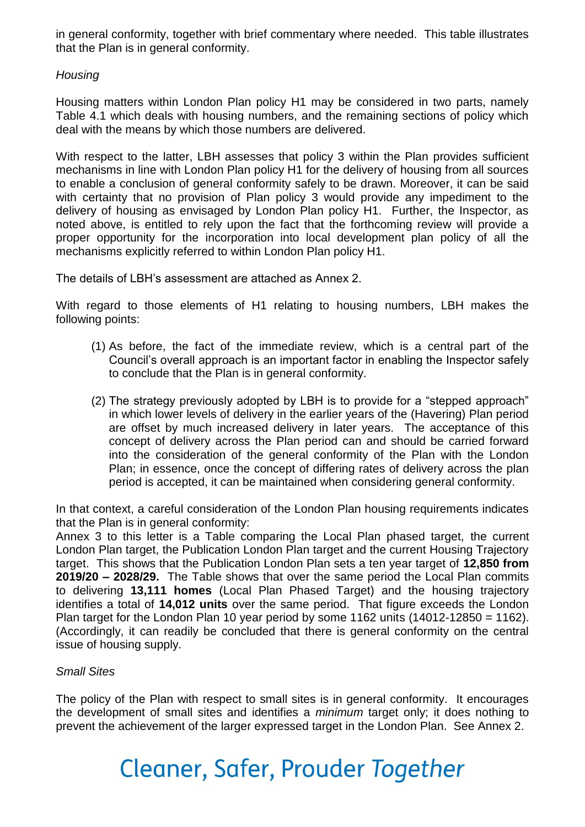in general conformity, together with brief commentary where needed. This table illustrates that the Plan is in general conformity.

## *Housing*

Housing matters within London Plan policy H1 may be considered in two parts, namely Table 4.1 which deals with housing numbers, and the remaining sections of policy which deal with the means by which those numbers are delivered.

With respect to the latter, LBH assesses that policy 3 within the Plan provides sufficient mechanisms in line with London Plan policy H1 for the delivery of housing from all sources to enable a conclusion of general conformity safely to be drawn. Moreover, it can be said with certainty that no provision of Plan policy 3 would provide any impediment to the delivery of housing as envisaged by London Plan policy H1. Further, the Inspector, as noted above, is entitled to rely upon the fact that the forthcoming review will provide a proper opportunity for the incorporation into local development plan policy of all the mechanisms explicitly referred to within London Plan policy H1.

The details of LBH's assessment are attached as Annex 2.

With regard to those elements of H1 relating to housing numbers, LBH makes the following points:

- (1) As before, the fact of the immediate review, which is a central part of the Council's overall approach is an important factor in enabling the Inspector safely to conclude that the Plan is in general conformity.
- (2) The strategy previously adopted by LBH is to provide for a "stepped approach" in which lower levels of delivery in the earlier years of the (Havering) Plan period are offset by much increased delivery in later years. The acceptance of this concept of delivery across the Plan period can and should be carried forward into the consideration of the general conformity of the Plan with the London Plan; in essence, once the concept of differing rates of delivery across the plan period is accepted, it can be maintained when considering general conformity.

In that context, a careful consideration of the London Plan housing requirements indicates that the Plan is in general conformity:

Annex 3 to this letter is a Table comparing the Local Plan phased target, the current London Plan target, the Publication London Plan target and the current Housing Trajectory target. This shows that the Publication London Plan sets a ten year target of **12,850 from 2019/20 – 2028/29.** The Table shows that over the same period the Local Plan commits to delivering **13,111 homes** (Local Plan Phased Target) and the housing trajectory identifies a total of **14,012 units** over the same period. That figure exceeds the London Plan target for the London Plan 10 year period by some 1162 units (14012-12850 = 1162). (Accordingly, it can readily be concluded that there is general conformity on the central issue of housing supply.

### *Small Sites*

The policy of the Plan with respect to small sites is in general conformity. It encourages the development of small sites and identifies a *minimum* target only; it does nothing to prevent the achievement of the larger expressed target in the London Plan. See Annex 2.